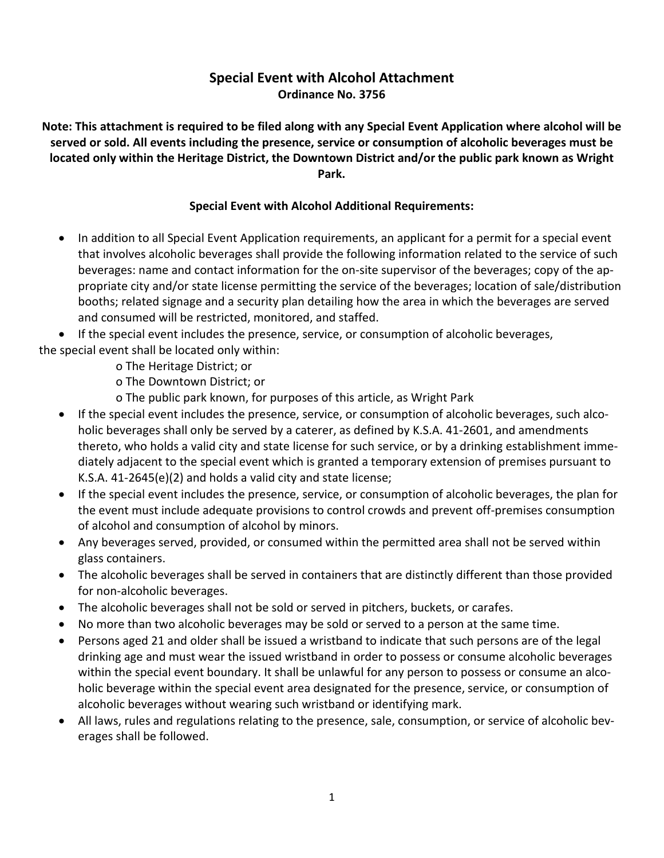## **Special Event with Alcohol Attachment Ordinance No. 3756**

**Note: This attachment is required to be filed along with any Special Event Application where alcohol will be served or sold. All events including the presence, service or consumption of alcoholic beverages must be located only within the Heritage District, the Downtown District and/or the public park known as Wright Park.** 

## **Special Event with Alcohol Additional Requirements:**

 In addition to all Special Event Application requirements, an applicant for a permit for a special event that involves alcoholic beverages shall provide the following information related to the service of such beverages: name and contact information for the on-site supervisor of the beverages; copy of the appropriate city and/or state license permitting the service of the beverages; location of sale/distribution booths; related signage and a security plan detailing how the area in which the beverages are served and consumed will be restricted, monitored, and staffed.

 If the special event includes the presence, service, or consumption of alcoholic beverages, the special event shall be located only within:

- o The Heritage District; or
- o The Downtown District; or
- o The public park known, for purposes of this article, as Wright Park
- If the special event includes the presence, service, or consumption of alcoholic beverages, such alcoholic beverages shall only be served by a caterer, as defined by K.S.A. 41-2601, and amendments thereto, who holds a valid city and state license for such service, or by a drinking establishment immediately adjacent to the special event which is granted a temporary extension of premises pursuant to K.S.A. 41-2645(e)(2) and holds a valid city and state license;
- If the special event includes the presence, service, or consumption of alcoholic beverages, the plan for the event must include adequate provisions to control crowds and prevent off-premises consumption of alcohol and consumption of alcohol by minors.
- Any beverages served, provided, or consumed within the permitted area shall not be served within glass containers.
- The alcoholic beverages shall be served in containers that are distinctly different than those provided for non-alcoholic beverages.
- The alcoholic beverages shall not be sold or served in pitchers, buckets, or carafes.
- No more than two alcoholic beverages may be sold or served to a person at the same time.
- Persons aged 21 and older shall be issued a wristband to indicate that such persons are of the legal drinking age and must wear the issued wristband in order to possess or consume alcoholic beverages within the special event boundary. It shall be unlawful for any person to possess or consume an alcoholic beverage within the special event area designated for the presence, service, or consumption of alcoholic beverages without wearing such wristband or identifying mark.
- All laws, rules and regulations relating to the presence, sale, consumption, or service of alcoholic beverages shall be followed.